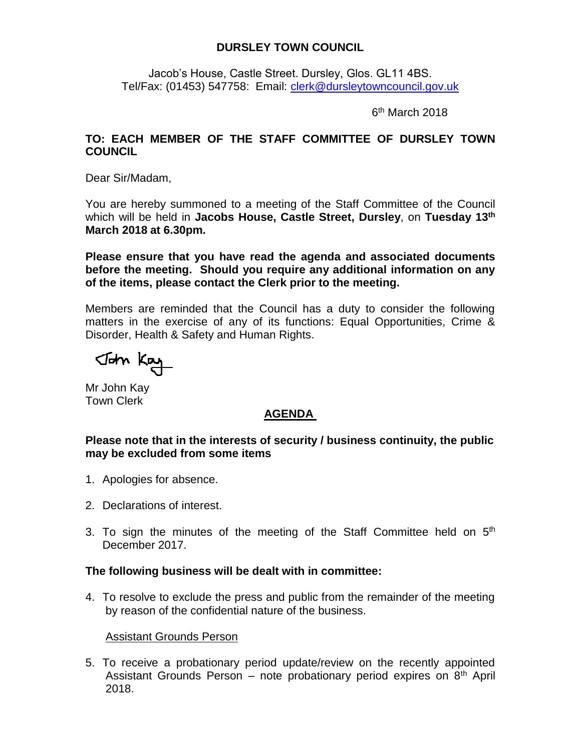## **DURSLEY TOWN COUNCIL**

Jacob's House, Castle Street. Dursley, Glos. GL11 4BS. Tel/Fax: (01453) 547758: Email: [clerk@dursleytowncouncil.gov.uk](mailto:clerk@dursleytowncouncil.gov.uk)

6<sup>th</sup> March 2018

## **TO: EACH MEMBER OF THE STAFF COMMITTEE OF DURSLEY TOWN COUNCIL**

Dear Sir/Madam,

You are hereby summoned to a meeting of the Staff Committee of the Council which will be held in **Jacobs House, Castle Street, Dursley**, on **Tuesday 13th March 2018 at 6.30pm.**

**Please ensure that you have read the agenda and associated documents before the meeting. Should you require any additional information on any of the items, please contact the Clerk prior to the meeting.**

Members are reminded that the Council has a duty to consider the following matters in the exercise of any of its functions: Equal Opportunities, Crime & Disorder, Health & Safety and Human Rights.

John Kay

Mr John Kay Town Clerk

# **AGENDA**

#### **Please note that in the interests of security / business continuity, the public may be excluded from some items**

- 1. Apologies for absence.
- 2. Declarations of interest.
- 3. To sign the minutes of the meeting of the Staff Committee held on  $5<sup>th</sup>$ December 2017.

#### **The following business will be dealt with in committee:**

4. To resolve to exclude the press and public from the remainder of the meeting by reason of the confidential nature of the business.

#### Assistant Grounds Person

5. To receive a probationary period update/review on the recently appointed Assistant Grounds Person – note probationary period expires on  $8<sup>th</sup>$  April 2018.